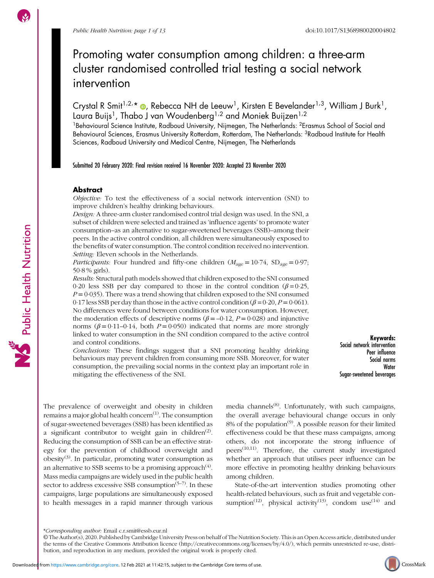# Promoting water consumption among children: a three-arm cluster randomised controlled trial testing a social network intervention

Crystal R Smit $^{1/2,*}$  @, Rebecca NH de Leeuw<sup>1</sup>, Kirsten E Bevelander $^{1/3}$ , William J Burk $^{1}$ , Laura Buijs<sup>1</sup>, Thabo J van Woudenberg<sup>1,2</sup> and Moniek Buijzen<sup>1,2</sup>

<sup>1</sup>Behavioural Science Institute, Radboud University, Nijmegen, The Netherlands: <sup>2</sup>Erasmus School of Social and Behavioural Sciences, Erasmus University Rotterdam, Rotterdam, The Netherlands: <sup>3</sup>Radboud Institute for Health Sciences, Radboud University and Medical Centre, Nijmegen, The Netherlands

Submitted 20 February 2020: Final revision received 16 November 2020: Accepted 23 November 2020

# Abstract

Objective: To test the effectiveness of a social network intervention (SNI) to improve children's healthy drinking behaviours.

Design: A three-arm cluster randomised control trial design was used. In the SNI, a subset of children were selected and trained as 'influence agents' to promote water consumption–as an alternative to sugar-sweetened beverages (SSB)–among their peers. In the active control condition, all children were simultaneously exposed to the benefits of water consumption. The control condition received no intervention. Setting: Eleven schools in the Netherlands.

*Participants:* Four hundred and fifty-one children ( $M_{\text{age}} = 10.74$ ,  $SD_{\text{age}} = 0.97$ ; 50·8 % girls).

Results: Structural path models showed that children exposed to the SNI consumed 0.20 less SSB per day compared to those in the control condition ( $\beta = 0.25$ ,  $P = 0.035$ ). There was a trend showing that children exposed to the SNI consumed 0.17 less SSB per day than those in the active control condition ( $\beta$  = 0.20, P = 0.061). No differences were found between conditions for water consumption. However, the moderation effects of descriptive norms ( $\beta$  = –0·12, P = 0·028) and injunctive norms ( $\beta = 0.11 - 0.14$ , both  $P = 0.050$ ) indicated that norms are more strongly linked to water consumption in the SNI condition compared to the active control and control conditions.

Conclusions: These findings suggest that a SNI promoting healthy drinking behaviours may prevent children from consuming more SSB. Moreover, for water consumption, the prevailing social norms in the context play an important role in mitigating the effectiveness of the SNI.

Keywords: Social network intervention Peer influence Social norms Water Sugar-sweetened beverages

The prevalence of overweight and obesity in children remains a major global health concern<sup> $(1)$ </sup>. The consumption of sugar-sweetened beverages (SSB) has been identified as a significant contributor to weight gain in children<sup>([2](#page-10-0))</sup>. Reducing the consumption of SSB can be an effective strategy for the prevention of childhood overweight and obesity([3](#page-10-0)). In particular, promoting water consumption as an alternative to SSB seems to be a promising approach $(4)$  $(4)$  $(4)$ . Mass media campaigns are widely used in the public health sector to address excessive SSB consumption<sup> $(5-7)$  $(5-7)$  $(5-7)$  $(5-7)$ </sup>. In these campaigns, large populations are simultaneously exposed to health messages in a rapid manner through various

media channels<sup>([8\)](#page-10-0)</sup>. Unfortunately, with such campaigns, the overall average behavioural change occurs in only 8% of the population<sup>([9](#page-10-0))</sup>. A possible reason for their limited effectiveness could be that these mass campaigns, among others, do not incorporate the strong influence of peers([10,11\)](#page-10-0). Therefore, the current study investigated whether an approach that utilises peer influence can be more effective in promoting healthy drinking behaviours among children.

State-of-the-art intervention studies promoting other health-related behaviours, such as fruit and vegetable con-sumption<sup>([12](#page-10-0))</sup>, physical activity<sup>([13](#page-10-0))</sup>, condom use<sup>[\(14\)](#page-10-0)</sup> and



<sup>\*</sup>Corresponding author: Email c.r.smit@essb.eur.nl

<sup>©</sup> The Author(s), 2020. Published by Cambridge University Press on behalf of The Nutrition Society. This is an Open Access article, distributed under the terms of the Creative Commons Attribution licence [\(http://creativecommons.org/licenses/by/4.0/\)](http://creativecommons.org/licenses/by/4.0/), which permits unrestricted re-use, distribution, and reproduction in any medium, provided the original work is properly cited.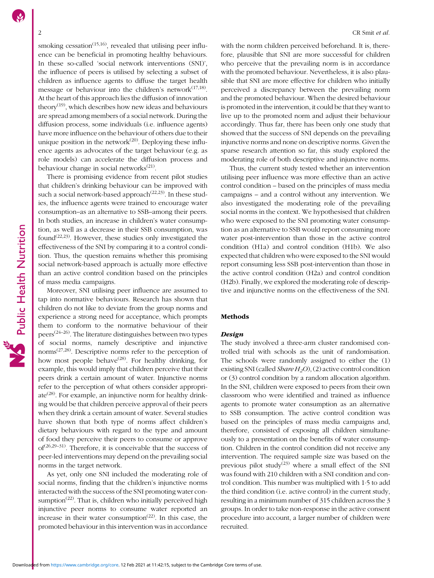smoking cessation<sup> $(15,16)$ </sup>, revealed that utilising peer influence can be beneficial in promoting healthy behaviours. In these so-called 'social network interventions (SNI)', the influence of peers is utilised by selecting a subset of children as influence agents to diffuse the target health message or behaviour into the children's network $(17,18)$  $(17,18)$ . At the heart of this approach lies the diffusion of innovation theory<sup> $(19)$  $(19)$  $(19)$ </sup>, which describes how new ideas and behaviours are spread among members of a social network. During the diffusion process, some individuals (i.e. influence agents) have more influence on the behaviour of others due to their unique position in the network $^{(20)}$  $^{(20)}$  $^{(20)}$ . Deploying these influence agents as advocates of the target behaviour (e.g. as role models) can accelerate the diffusion process and behaviour change in social networks $(21)$  $(21)$ .

There is promising evidence from recent pilot studies that children's drinking behaviour can be improved with such a social network-based approach<sup> $(22,23)$  $(22,23)$  $(22,23)$  $(22,23)$  $(22,23)$ </sup>. In these studies, the influence agents were trained to encourage water consumption–as an alternative to SSB–among their peers. In both studies, an increase in children's water consumption, as well as a decrease in their SSB consumption, was found<sup> $(22,23)$  $(22,23)$  $(22,23)$  $(22,23)$ </sup>. However, these studies only investigated the effectiveness of the SNI by comparing it to a control condition. Thus, the question remains whether this promising social network-based approach is actually more effective than an active control condition based on the principles of mass media campaigns.

Moreover, SNI utilising peer influence are assumed to tap into normative behaviours. Research has shown that children do not like to deviate from the group norms and experience a strong need for acceptance, which prompts them to conform to the normative behaviour of their peers<sup> $(24-26)$  $(24-26)$  $(24-26)$  $(24-26)$  $(24-26)$ </sup>. The literature distinguishes between two types of social norms, namely descriptive and injunctive norms[\(27,28\)](#page-11-0). Descriptive norms refer to the perception of how most people behave<sup> $(28)$  $(28)$ </sup>. For healthy drinking, for example, this would imply that children perceive that their peers drink a certain amount of water. Injunctive norms refer to the perception of what others consider appropriate<sup> $(28)$  $(28)$  $(28)$ </sup>. For example, an injunctive norm for healthy drinking would be that children perceive approval of their peers when they drink a certain amount of water. Several studies have shown that both type of norms affect children's dietary behaviours with regard to the type and amount of food they perceive their peers to consume or approve  $of^{(26,29-31)}$  $of^{(26,29-31)}$  $of^{(26,29-31)}$  $of^{(26,29-31)}$  $of^{(26,29-31)}$ . Therefore, it is conceivable that the success of peer-led interventions may depend on the prevailing social norms in the target network.

As yet, only one SNI included the moderating role of social norms, finding that the children's injunctive norms interacted with the success of the SNI promoting water con-sumption<sup>([22](#page-11-0))</sup>. That is, children who initially perceived high injunctive peer norms to consume water reported an increase in their water consumption<sup> $(22)$  $(22)$  $(22)$ </sup>. In this case, the promoted behaviour in this intervention was in accordance with the norm children perceived beforehand. It is, therefore, plausible that SNI are more successful for children who perceive that the prevailing norm is in accordance with the promoted behaviour. Nevertheless, it is also plausible that SNI are more effective for children who initially perceived a discrepancy between the prevailing norm and the promoted behaviour. When the desired behaviour is promoted in the intervention, it could be that they want to live up to the promoted norm and adjust their behaviour accordingly. Thus far, there has been only one study that showed that the success of SNI depends on the prevailing injunctive norms and none on descriptive norms. Given the sparse research attention so far, this study explored the moderating role of both descriptive and injunctive norms.

Thus, the current study tested whether an intervention utilising peer influence was more effective than an active control condition – based on the principles of mass media campaigns – and a control without any intervention. We also investigated the moderating role of the prevailing social norms in the context. We hypothesised that children who were exposed to the SNI promoting water consumption as an alternative to SSB would report consuming more water post-intervention than those in the active control condition (H1a) and control condition (H1b). We also expected that children who were exposed to the SNI would report consuming less SSB post-intervention than those in the active control condition (H2a) and control condition (H2b). Finally, we explored the moderating role of descriptive and injunctive norms on the effectiveness of the SNI.

# Methods

### Design

The study involved a three-arm cluster randomised controlled trial with schools as the unit of randomisation. The schools were randomly assigned to either the (1) existing SNI (called *Share H<sub>2</sub>O*), (2) active control condition or (3) control condition by a random allocation algorithm. In the SNI, children were exposed to peers from their own classroom who were identified and trained as influence agents to promote water consumption as an alternative to SSB consumption. The active control condition was based on the principles of mass media campaigns and, therefore, consisted of exposing all children simultaneously to a presentation on the benefits of water consumption. Children in the control condition did not receive any intervention. The required sample size was based on the previous pilot study<sup>([23](#page-11-0))</sup> where a small effect of the SNI was found with 210 children with a SNI condition and control condition. This number was multiplied with 1·5 to add the third condition (i.e. active control) in the current study, resulting in a minimum number of 315 children across the 3 groups. In order to take non-response in the active consent procedure into account, a larger number of children were recruited.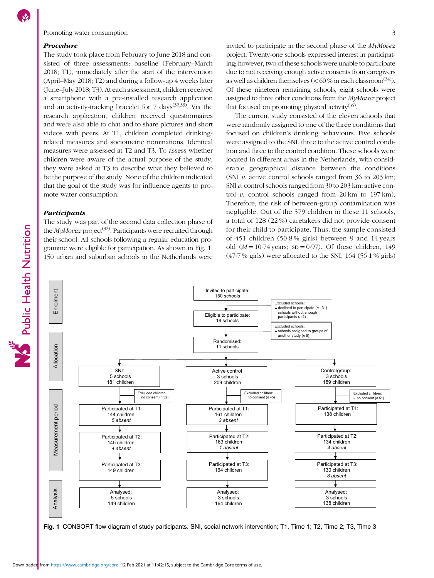<span id="page-2-0"></span>Promoting water consumption 3

#### Procedure

The study took place from February to June 2018 and consisted of three assessments: baseline (February–March 2018; T1), immediately after the start of the intervention (April–May 2018; T2) and during a follow-up 4 weeks later (June–July 2018; T3). At each assessment, children received a smartphone with a pre-installed research application and an activity-tracking bracelet for  $7 \text{ days}^{(32,33)}$  $7 \text{ days}^{(32,33)}$  $7 \text{ days}^{(32,33)}$ . Via the research application, children received questionnaires and were also able to chat and to share pictures and short videos with peers. At T1, children completed drinkingrelated measures and sociometric nominations. Identical measures were assessed at T2 and T3. To assess whether children were aware of the actual purpose of the study, they were asked at T3 to describe what they believed to be the purpose of the study. None of the children indicated that the goal of the study was for influence agents to promote water consumption.

# Participants

Public Health Nutrition

The study was part of the second data collection phase of the  $MyMovez$  project<sup>[\(32\)](#page-11-0)</sup>. Participants were recruited through their school. All schools following a regular education programme were eligible for participation. As shown in Fig. 1, 150 urban and suburban schools in the Netherlands were invited to participate in the second phase of the MyMovez project. Twenty-one schools expressed interest in participating; however, two of these schools were unable to participate due to not receiving enough active consents from caregivers as well as children themselves ( $<$  60 % in each classroom<sup>([34](#page-11-0))</sup>). Of these nineteen remaining schools, eight schools were assigned to three other conditions from the MyMovez project that focused on promoting physical activity<sup> $(35)$  $(35)$  $(35)$ </sup>.

The current study consisted of the eleven schools that were randomly assigned to one of the three conditions that focused on children's drinking behaviours. Five schools were assigned to the SNI, three to the active control condition and three to the control condition. These schools were located in different areas in the Netherlands, with considerable geographical distance between the conditions (SNI  $v$ . active control schools ranged from 36 to 203 km; SNI v. control schools ranged from 30 to 203 km; active control v. control schools ranged from  $20 \text{ km}$  to  $197 \text{ km}$ ). Therefore, the risk of between-group contamination was negligible. Out of the 579 children in these 11 schools, a total of 128 (22 %) caretakers did not provide consent for their child to participate. Thus, the sample consisted of 451 children (50·8 % girls) between 9 and 14 years old  $(M = 10.74$  years; sD = 0.97). Of these children, 149  $(47.7\%$  girls) were allocated to the SNI,  $164$  (56.1% girls)



Fig. 1 CONSORT flow diagram of study participants. SNI, social network intervention; T1, Time 1; T2, Time 2; T3, Time 3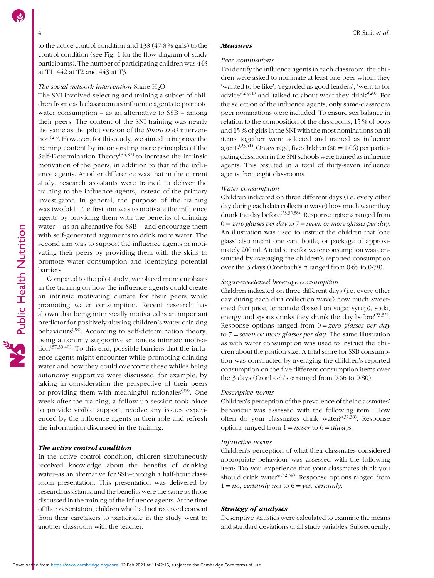to the active control condition and 138 (47·8 % girls) to the control condition (see Fig. [1](#page-2-0) for the flow diagram of study participants). The number of participating children was 443 at T1, 442 at T2 and 443 at T3.

# The social network intervention Share  $H_2O$

The SNI involved selecting and training a subset of children from each classroom as influence agents to promote water consumption – as an alternative to SSB – among their peers. The content of the SNI training was nearly the same as the pilot version of the *Share*  $H_2O$  interven- $\text{tion}^{(23)}$  $\text{tion}^{(23)}$  $\text{tion}^{(23)}$ . However, for this study, we aimed to improve the training content by incorporating more principles of the Self-Determination Theory<sup>[\(36](#page-11-0),[37\)](#page-11-0)</sup> to increase the intrinsic motivation of the peers, in addition to that of the influence agents. Another difference was that in the current study, research assistants were trained to deliver the training to the influence agents, instead of the primary investigator. In general, the purpose of the training was twofold. The first aim was to motivate the influence agents by providing them with the benefits of drinking water – as an alternative for SSB – and encourage them with self-generated arguments to drink more water. The second aim was to support the influence agents in motivating their peers by providing them with the skills to promote water consumption and identifying potential barriers.

Compared to the pilot study, we placed more emphasis in the training on how the influence agents could create an intrinsic motivating climate for their peers while promoting water consumption. Recent research has shown that being intrinsically motivated is an important predictor for positively altering children's water drinking behaviours<sup>[\(38](#page-11-0))</sup>. According to self-determination theory, being autonomy supportive enhances intrinsic motivation<sup> $(37,39,40)$  $(37,39,40)$  $(37,39,40)$  $(37,39,40)$ </sup>. To this end, possible barriers that the influence agents might encounter while promoting drinking water and how they could overcome these whiles being autonomy supportive were discussed, for example, by taking in consideration the perspective of their peers or providing them with meaningful rationales $(39)$  $(39)$  $(39)$ . One week after the training, a follow-up session took place to provide visible support, resolve any issues experienced by the influence agents in their role and refresh the information discussed in the training.

# The active control condition

In the active control condition, children simultaneously received knowledge about the benefits of drinking water–as an alternative for SSB–through a half-hour classroom presentation. This presentation was delivered by research assistants, and the benefits were the same as those discussed in the training of the influence agents. At the time of the presentation, children who had not received consent from their caretakers to participate in the study went to another classroom with the teacher.

#### **Measures**

#### Peer nominations

To identify the influence agents in each classroom, the children were asked to nominate at least one peer whom they 'wanted to be like', 'regarded as good leaders', 'went to for advice<sup> $(23,41)$  $(23,41)$ </sup> and 'talked to about what they drink'<sup>([20](#page-11-0))</sup>. For the selection of the influence agents, only same-classroom peer nominations were included. To ensure sex balance in relation to the composition of the classrooms, 15 % of boys and 15 % of girls in the SNI with the most nominations on all items together were selected and trained as influence agents<sup> $(23,41)$  $(23,41)$  $(23,41)$  $(23,41)$  $(23,41)$ </sup>. On average, five children (sp = 1.06) per participating classroom in the SNI schools were trained as influence agents. This resulted in a total of thirty-seven influence agents from eight classrooms.

#### Water consumption

Children indicated on three different days (i.e. every other day during each data collection wave) how much water they drunk the day before[\(23,32,38\)](#page-11-0). Response options ranged from  $0 =$  zero glasses per day to  $7 =$  seven or more glasses per day. An illustration was used to instruct the children that 'one glass' also meant one can, bottle, or package of approximately 200 ml. A total score for water consumption was constructed by averaging the children's reported consumption over the 3 days (Cronbach's  $\alpha$  ranged from 0.65 to 0.78).

# Sugar-sweetened beverage consumption

Children indicated on three different days (i.e. every other day during each data collection wave) how much sweetened fruit juice, lemonade (based on sugar syrup), soda, energy and sports drinks they drunk the day before  $(23,32)$  $(23,32)$ . Response options ranged from  $0 = zero$  glasses per day to  $7 = seven$  or more glasses per day. The same illustration as with water consumption was used to instruct the children about the portion size. A total score for SSB consumption was constructed by averaging the children's reported consumption on the five different consumption items over the 3 days (Cronbach's α ranged from 0·66 to 0·80).

#### Descriptive norms

Children's perception of the prevalence of their classmates' behaviour was assessed with the following item: 'How often do your classmates drink water?'<sup>[\(32,38](#page-11-0))</sup>. Response options ranged from  $1 = never$  to  $6 = always$ .

#### Injunctive norms

Children's perception of what their classmates considered appropriate behaviour was assessed with the following item: 'Do you experience that your classmates think you should drink water?'<sup>([32](#page-11-0),[38\)](#page-11-0)</sup>. Response options ranged from  $1 = no$ , certainly not to  $6 = yes$ , certainly.

#### Strategy of analyses

Descriptive statistics were calculated to examine the means and standard deviations of all study variables. Subsequently,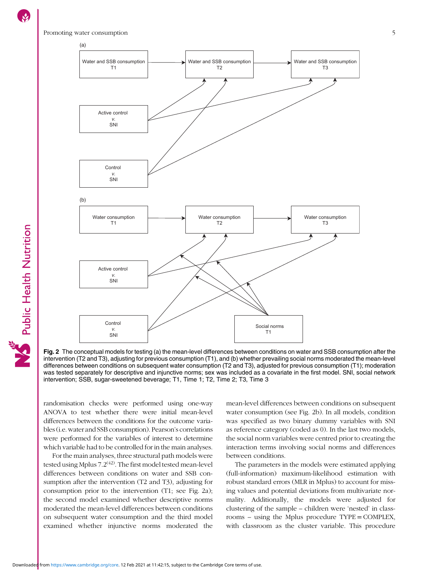

Fig. 2 The conceptual models for testing (a) the mean-level differences between conditions on water and SSB consumption after the intervention (T2 and T3), adjusting for previous consumption (T1), and (b) whether prevailing social norms moderated the mean-level differences between conditions on subsequent water consumption (T2 and T3), adjusted for previous consumption (T1); moderation was tested separately for descriptive and injunctive norms; sex was included as a covariate in the first model. SNI, social network intervention; SSB, sugar-sweetened beverage; T1, Time 1; T2, Time 2; T3, Time 3

randomisation checks were performed using one-way ANOVA to test whether there were initial mean-level differences between the conditions for the outcome variables (i.e. water and SSB consumption). Pearson's correlations were performed for the variables of interest to determine which variable had to be controlled for in the main analyses.

For the main analyses, three structural path models were tested using Mplus  $7.2^{(42)}$  $7.2^{(42)}$  $7.2^{(42)}$ . The first model tested mean-level differences between conditions on water and SSB consumption after the intervention (T2 and T3), adjusting for consumption prior to the intervention (T1; see Fig. 2a); the second model examined whether descriptive norms moderated the mean-level differences between conditions on subsequent water consumption and the third model examined whether injunctive norms moderated the mean-level differences between conditions on subsequent water consumption (see Fig. 2b). In all models, condition was specified as two binary dummy variables with SNI as reference category (coded as 0). In the last two models, the social norm variables were centred prior to creating the interaction terms involving social norms and differences between conditions.

The parameters in the models were estimated applying (full-information) maximum-likelihood estimation with robust standard errors (MLR in Mplus) to account for missing values and potential deviations from multivariate normality. Additionally, the models were adjusted for clustering of the sample – children were 'nested' in classrooms – using the Mplus procedure TYPE = COMPLEX, with classroom as the cluster variable. This procedure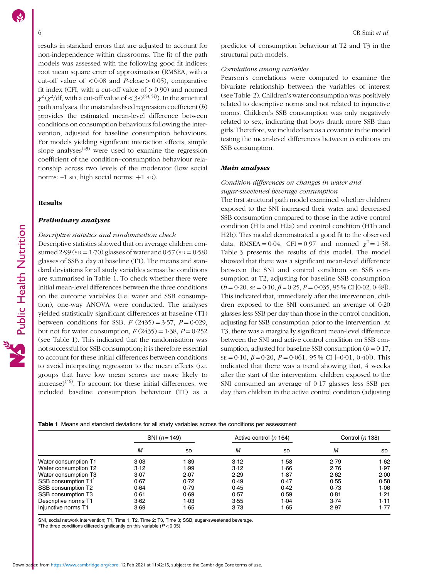results in standard errors that are adjusted to account for non-independence within classrooms. The fit of the path models was assessed with the following good fit indices: root mean square error of approximation (RMSEA, with a cut-off value of  $\lt 0.08$  and P-close  $> 0.05$ ), comparative fit index (CFI, with a cut-off value of  $> 0.90$ ) and normed  $\chi^2$  ( $\chi^2$ /df, with a cut-off value of < 3·0<sup>[\(43](#page-11-0),[44](#page-11-0))</sup>). In the structural path analyses, the unstandardised regression coefficient  $(b)$ provides the estimated mean-level difference between conditions on consumption behaviours following the intervention, adjusted for baseline consumption behaviours. For models yielding significant interaction effects, simple slope analyses<sup> $(45)$  $(45)$  $(45)$ </sup> were used to examine the regression coefficient of the condition–consumption behaviour relationship across two levels of the moderator (low social norms:  $-1$  SD; high social norms:  $+1$  SD).

#### Results

Public Health Nutrition

### Preliminary analyses

Descriptive statistics and randomisation check Descriptive statistics showed that on average children consumed  $2.99$  (sp = 1.70) glasses of water and  $0.57$  (sp = 0.58) glasses of SSB a day at baseline (T1). The means and standard deviations for all study variables across the conditions are summarised in Table 1. To check whether there were initial mean-level differences between the three conditions on the outcome variables (i.e. water and SSB consumption), one-way ANOVA were conducted. The analyses yielded statistically significant differences at baseline (T1) between conditions for SSB,  $F(2435) = 3.57$ ,  $P = 0.029$ , but not for water consumption,  $F(2435) = 1.38$ ,  $P = 0.252$ (see Table 1). This indicated that the randomisation was not successful for SSB consumption; it is therefore essential to account for these initial differences between conditions to avoid interpreting regression to the mean effects (i.e. groups that have low mean scores are more likely to  $i$ ncrease)<sup>[\(46\)](#page-11-0)</sup>. To account for these initial differences, we included baseline consumption behaviour (T1) as a

predictor of consumption behaviour at T2 and T3 in the structural path models.

#### Correlations among variables

Pearson's correlations were computed to examine the bivariate relationship between the variables of interest (see Table [2\)](#page-6-0). Children's water consumption was positively related to descriptive norms and not related to injunctive norms. Children's SSB consumption was only negatively related to sex, indicating that boys drank more SSB than girls. Therefore, we included sex as a covariate in the model testing the mean-level differences between conditions on SSB consumption.

#### Main analyses

# Condition differences on changes in water and sugar-sweetened beverage consumption

The first structural path model examined whether children exposed to the SNI increased their water and decreased SSB consumption compared to those in the active control condition (H1a and H2a) and control condition (H1b and H2b). This model demonstrated a good fit to the observed data, RMSEA =  $0.04$ , CFI =  $0.97$  and normed  $\chi^2 = 1.58$ . Table [3](#page-6-0) presents the results of this model. The model showed that there was a significant mean-level difference between the SNI and control condition on SSB consumption at T2, adjusting for baseline SSB consumption  $(b = 0.20, \text{ sE} = 0.10, \beta = 0.25, P = 0.035, 95\% \text{ CI} [0.02, 0.48]).$ This indicated that, immediately after the intervention, children exposed to the SNI consumed an average of 0·20 glasses less SSB per day than those in the control condition, adjusting for SSB consumption prior to the intervention. At T3, there was a marginally significant mean-level difference between the SNI and active control condition on SSB consumption, adjusted for baseline SSB consumption  $(b = 0.17)$ ,  $SE = 0.10$ ,  $\beta = 0.20$ ,  $P = 0.061$ , 95% CI [-0.01, 0.40]). This indicated that there was a trend showing that, 4 weeks after the start of the intervention, children exposed to the SNI consumed an average of 0·17 glasses less SSB per day than children in the active control condition (adjusting

|                      | SNI $(n = 149)$ |           |      | Active control (n 164) | Control (n 138) |           |
|----------------------|-----------------|-----------|------|------------------------|-----------------|-----------|
|                      | М               | <b>SD</b> | M    | <b>SD</b>              | М               | <b>SD</b> |
| Water consumption T1 | 3.03            | 1.89      | 3.12 | 1.58                   | 2.79            | 1.62      |
| Water consumption T2 | 3.12            | 1.99      | 3.12 | 1.66                   | 2.76            | 1.97      |
| Water consumption T3 | 3.07            | 2.07      | 2.29 | 1.87                   | 2.62            | 2.00      |
| SSB consumption T1   | 0.67            | 0.72      | 0.49 | 0.47                   | 0.55            | 0.58      |
| SSB consumption T2   | 0.64            | 0.79      | 0.45 | 0.42                   | 0.73            | 1.06      |
| SSB consumption T3   | 0.61            | 0.69      | 0.57 | 0.59                   | 0.81            | 1.21      |
| Descriptive norms T1 | 3.62            | 1.03      | 3.55 | 1.04                   | 3.74            | 1.11      |
| Injunctive norms T1  | 3.69            | 1.65      | 3.73 | 1.65                   | 2.97            | 1.77      |

#### Table 1 Means and standard deviations for all study variables across the conditions per assessment

SNI, social network intervention; T1, Time 1; T2, Time 2; T3, Time 3; SSB, sugar-sweetened beverage. \*The three conditions differed significantly on this variable  $(P < 0.05)$ .

Downloaded from [https://www.cambridge.org/core.](https://www.cambridge.org/core) 12 Feb 2021 at 11:42:15, subject to the Cambridge Core terms of use.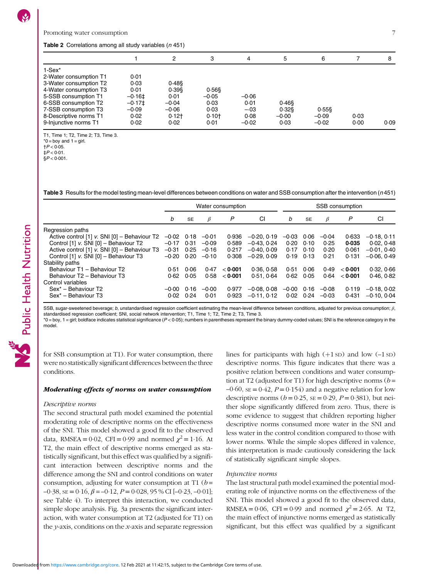#### <span id="page-6-0"></span>Table 2 Correlations among all study variables (n 451)

|                        |                      | 2        | 3         | 4       | 5        | 6         |      | 8    |
|------------------------|----------------------|----------|-----------|---------|----------|-----------|------|------|
| $1-Sex*$               |                      |          |           |         |          |           |      |      |
| 2-Water consumption T1 | 0.01                 |          |           |         |          |           |      |      |
| 3-Water consumption T2 | 0.03                 | 0.48     |           |         |          |           |      |      |
| 4-Water consumption T3 | 0.01                 | $0.39$ § | $0.56$ \$ |         |          |           |      |      |
| 5-SSB consumption T1   | $-0.16$ <sup>±</sup> | 0.01     | $-0.05$   | $-0.06$ |          |           |      |      |
| 6-SSB consumption T2   | $-0.17$ ±            | $-0.04$  | 0.03      | 0.01    | $0.46$ § |           |      |      |
| 7-SSB consumption T3   | -0.09                | $-0.06$  | 0.03      | $-.03$  | $0.32$ § | $0.55$ \$ |      |      |
| 8-Descriptive norms T1 | 0.02                 | $0.12+$  | $0.10+$   | 0.08    | $-0.00$  | $-0.09$   | 0.03 |      |
| 9-Injunctive norms T1  | 0.02                 | 0.02     | 0.01      | $-0.02$ | 0.03     | $-0.02$   | 0.00 | 0.09 |

T1, Time 1; T2, Time 2; T3, Time 3.

 $*0 = boy$  and  $1 = girl$ .

 $+P < 0.05$ .  $\pm P < 0.01$ .

 $$P < 0.001$ .

Table 3 Results for the model testing mean-level differences between conditions on water and SSB consumption after the intervention (n451)

|                                              | Water consumption |           |         |         | SSB consumption |         |           |         |         |               |
|----------------------------------------------|-------------------|-----------|---------|---------|-----------------|---------|-----------|---------|---------|---------------|
|                                              | b                 | <b>SE</b> | β       | P       | CI              | b       | <b>SE</b> | $\beta$ | P       | CI            |
| Regression paths                             |                   |           |         |         |                 |         |           |         |         |               |
| Active control [1] v. SNI [0] - Behaviour T2 | $-0.02$           | 0.18      | $-0.01$ | 0.936   | $-0.20, 0.19$   | $-0.03$ | 0.06      | $-0.04$ | 0.633   | $-0.18, 0.11$ |
| Control [1] v. SNI [0] - Behaviour T2        | $-0.17$           | 0.31      | $-0.09$ | 0.589   | $-0.43, 0.24$   | 0.20    | 0.10      | 0.25    | 0.035   | 0.02, 0.48    |
| Active control [1] v. SNI [0] - Behaviour T3 | $-0.31$           | 0.25      | $-0.16$ | 0.217   | $-0.40, 0.09$   | 0.17    | 0.10      | 0.20    | 0.061   | $-0.01, 0.40$ |
| Control [1] v. SNI [0] - Behaviour T3        | $-0.20$           | 0.20      | $-0.10$ | 0.308   | $-0.29.0.09$    | 0.19    | 0.13      | 0.21    | 0.131   | $-0.06, 0.49$ |
| Stability paths                              |                   |           |         |         |                 |         |           |         |         |               |
| Behaviour T1 - Behaviour T2                  | 0.51              | 0.06      | 0.47    | < 0.001 | 0.36, 0.58      | 0.51    | 0.06      | 0.49    | < 0.001 | 0.32, 0.66    |
| Behaviour T2 - Behaviour T3                  | 0.62              | 0.05      | 0.58    | < 0.001 | 0.51, 0.64      | 0.62    | 0.05      | 0.64    | < 0.001 | 0.46.0.82     |
| Control variables                            |                   |           |         |         |                 |         |           |         |         |               |
| Sex <sup>*</sup> - Behaviour T2              | $-0.00$           | 0.16      | $-0.00$ | 0.977   | $-0.08, 0.08$   | $-0.00$ | 0.16      | $-0.08$ | 0.119   | $-0.18, 0.02$ |
| Sex <sup>*</sup> - Behaviour T3              | 0.02              | 0.24      | 0.01    | 0.923   | $-0.11, 0.12$   | 0.02    | 0.24      | $-0.03$ | 0.431   | $-0.10, 0.04$ |

SSB, sugar-sweetened beverage; b, unstandardised regression coefficient estimating the mean-level difference between conditions, adjusted for previous consumption;  $\beta$ , standardised regression coefficient; SNI, social network intervention; T1, Time 1; T2, Time 2; T3, Time 3.

 $*0 = \text{boy}$ , 1 = girl; boldface indicates statistical significance ( $P < 0.05$ ); numbers in parentheses represent the binary dummy-coded values; SNI is the reference category in the model.

for SSB consumption at T1). For water consumption, there were no statistically significant differences between the three conditions.

# Moderating effects of norms on water consumption

#### Descriptive norms

The second structural path model examined the potential moderating role of descriptive norms on the effectiveness of the SNI. This model showed a good fit to the observed data, RMSEA = 0.02, CFI = 0.99 and normed  $\chi^2$  = 1.16. At T2, the main effect of descriptive norms emerged as statistically significant, but this effect was qualified by a significant interaction between descriptive norms and the difference among the SNI and control conditions on water consumption, adjusting for water consumption at T1 ( $b =$  $-0.38$ ,  $SE = 0.16$ ,  $\beta = -0.12$ ,  $P = 0.028$ ,  $95\%$  CI  $[-0.23, -0.01]$ ; see Table [4\)](#page-7-0). To interpret this interaction, we conducted simple slope analysis. Fig. [3a](#page-8-0) presents the significant interaction, with water consumption at T2 (adjusted for T1) on the y-axis, conditions on the x-axis and separate regression lines for participants with high  $(+1 sD)$  and low  $(-1 sD)$ descriptive norms. This figure indicates that there was a positive relation between conditions and water consumption at T2 (adjusted for T1) for high descriptive norms  $(b =$  $-0.60$ ,  $SE = 0.42$ ,  $P = 0.154$ ) and a negative relation for low descriptive norms ( $b = 0.25$ , se = 0.29,  $P = 0.381$ ), but neither slope significantly differed from zero. Thus, there is some evidence to suggest that children reporting higher descriptive norms consumed more water in the SNI and less water in the control condition compared to those with lower norms. While the simple slopes differed in valence, this interpretation is made cautiously considering the lack of statistically significant simple slopes.

#### Injunctive norms

The last structural path model examined the potential moderating role of injunctive norms on the effectiveness of the SNI. This model showed a good fit to the observed data, RMSEA = 0.06, CFI = 0.99 and normed  $\chi^2$  = 2.65. At T2, the main effect of injunctive norms emerged as statistically significant, but this effect was qualified by a significant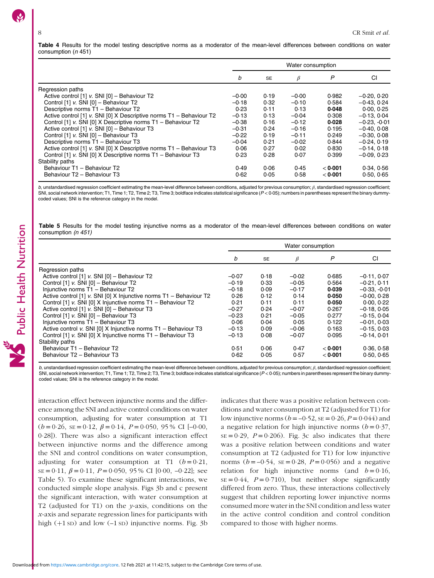<span id="page-7-0"></span>Table 4 Results for the model testing descriptive norms as a moderator of the mean-level differences between conditions on water consumption (n 451)

|                                                                     | Water consumption |           |         |         |                |  |  |
|---------------------------------------------------------------------|-------------------|-----------|---------|---------|----------------|--|--|
|                                                                     | b                 | <b>SE</b> | β       | P       | СI             |  |  |
| Regression paths                                                    |                   |           |         |         |                |  |  |
| Active control [1] v. SNI [0] - Behaviour T2                        | $-0.00$           | 0.19      | $-0.00$ | 0.982   | $-0.20, 0.20$  |  |  |
| Control [1] v. SNI [0] - Behaviour T2                               | $-0.18$           | 0.32      | $-0.10$ | 0.584   | $-0.43, 0.24$  |  |  |
| Descriptive norms T1 - Behaviour T2                                 | 0.23              | 0.11      | 0.13    | 0.048   | 0.00, 0.25     |  |  |
| Active control [1] v. SNI [0] X Descriptive norms T1 - Behaviour T2 | $-0.13$           | 0.13      | $-0.04$ | 0.308   | $-0.13, 0.04$  |  |  |
| Control [1] v. SNI [0] X Descriptive norms T1 - Behaviour T2        | $-0.38$           | 0.16      | $-0.12$ | 0.028   | $-0.23. -0.01$ |  |  |
| Active control [1] v. SNI [0] - Behaviour T3                        | $-0.31$           | 0.24      | $-0.16$ | 0.195   | $-0.40, 0.08$  |  |  |
| Control [1] v. SNI [0] - Behaviour T3                               | $-0.22$           | 0.19      | $-0.11$ | 0.249   | $-0.30, 0.08$  |  |  |
| Descriptive norms T1 - Behaviour T3                                 | $-0.04$           | 0.21      | $-0.02$ | 0.844   | $-0.24.0.19$   |  |  |
| Active control [1] v. SNI [0] X Descriptive norms T1 - Behaviour T3 | 0.06              | 0.27      | 0.02    | 0.830   | $-0.14.0.18$   |  |  |
| Control [1] v. SNI [0] X Descriptive norms T1 - Behaviour T3        | 0.23              | 0.28      | 0.07    | 0.399   | $-0.09, 0.23$  |  |  |
| Stability paths                                                     |                   |           |         |         |                |  |  |
| Behaviour T1 - Behaviour T2                                         | 0.49              | 0.06      | 0.45    | < 0.001 | 0.34.0.56      |  |  |
| Behaviour T2 - Behaviour T3                                         | 0.62              | 0.05      | 0.58    | < 0.001 | 0.50, 0.65     |  |  |

b, unstandardised regression coefficient estimating the mean-level difference between conditions, adjusted for previous consumption; β, standardised regression coefficient; SNI, social network intervention; T1, Time 1; T2, Time 2; T3, Time 3; boldface indicates statistical significance  $(P < 0.05)$ ; numbers in parentheses represent the binary dummycoded values; SNI is the reference category in the model.

Table 5 Results for the model testing injunctive norms as a moderator of the mean-level differences between conditions on water consumption (n 451)

|                                                                    | Water consumption |           |         |         |                |  |  |
|--------------------------------------------------------------------|-------------------|-----------|---------|---------|----------------|--|--|
|                                                                    | b                 | <b>SE</b> | ß       | P       | CI             |  |  |
| Regression paths                                                   |                   |           |         |         |                |  |  |
| Active control [1] v. SNI [0] - Behaviour T2                       | $-0.07$           | 0.18      | $-0.02$ | 0.685   | $-0.11, 0.07$  |  |  |
| Control [1] v. SNI [0] - Behaviour T2                              | $-0.19$           | 0.33      | $-0.05$ | 0.564   | $-0.21.0.11$   |  |  |
| Injunctive norms T1 - Behaviour T2                                 | $-0.18$           | 0.09      | $-0.17$ | 0.039   | $-0.33. -0.01$ |  |  |
| Active control [1] v. SNI [0] X Injunctive norms T1 - Behaviour T2 | 0.26              | 0.12      | 0.14    | 0.050   | $-0.00, 0.28$  |  |  |
| Control [1] v. SNI [0] X Injunctive norms T1 - Behaviour T2        | 0.21              | 0.11      | 0.11    | 0.050   | 0.00, 0.22     |  |  |
| Active control [1] v. SNI [0] - Behaviour T3                       | $-0.27$           | 0.24      | $-0.07$ | 0.267   | $-0.18, 0.05$  |  |  |
| Control [1] v. SNI [0] - Behaviour T3                              | $-0.23$           | 0.21      | $-0.05$ | 0.277   | $-0.15, 0.04$  |  |  |
| Injunctive norms T1 - Behaviour T3                                 | 0.06              | 0.04      | 0.05    | 0.122   | $-0.01, 0.03$  |  |  |
| Active control v. SNI [0] X Injunctive norms T1 - Behaviour T3     | $-0.13$           | 0.09      | $-0.06$ | 0.163   | $-0.15, 0.03$  |  |  |
| Control [1] v. SNI [0] X Injunctive norms T1 - Behaviour T3        | $-0.13$           | 0.08      | $-0.07$ | 0.095   | $-0.14.001$    |  |  |
| Stability paths                                                    |                   |           |         |         |                |  |  |
| Behaviour T1 - Behaviour T2                                        | 0.51              | 0.06      | 0.47    | < 0.001 | 0.36, 0.58     |  |  |
| Behaviour T2 - Behaviour T3                                        | 0.62              | 0.05      | 0.57    | < 0.001 | 0.50, 0.65     |  |  |

b, unstandardised regression coefficient estimating the mean-level difference between conditions, adjusted for previous consumption; β, standardised regression coefficient; SNI, social network intervention; T1, Time 1; T2, Time 2; T3, Time 3; boldface indicates statistical significance (P < 0·05); numbers in parentheses represent the binary dummycoded values; SNI is the reference category in the model.

interaction effect between injunctive norms and the difference among the SNI and active control conditions on water consumption, adjusting for water consumption at T1  $(b = 0.26, \text{ sE} = 0.12, \beta = 0.14, P = 0.050, 95\% \text{ CI } [-0.00,$ 0·28]). There was also a significant interaction effect between injunctive norms and the difference among the SNI and control conditions on water consumption, adjusting for water consumption at T1  $(b=0.21)$ ,  $SE = 0.11$ ,  $\beta = 0.11$ ,  $P = 0.050$ , 95 % CI [0.00, -0.22]; see Table 5). To examine these significant interactions, we conducted simple slope analysis. Figs [3](#page-8-0)b and c present the significant interaction, with water consumption at T2 (adjusted for T1) on the  $y$ -axis, conditions on the x-axis and separate regression lines for participants with high  $(+1 sD)$  and low  $(-1 sD)$  injunctive norms. Fig. [3](#page-8-0)b indicates that there was a positive relation between conditions and water consumption at T2 (adjusted for T1) for low injunctive norms  $(b = -0.52, \text{SE} = 0.26, P = 0.044)$  and a negative relation for high injunctive norms ( $b = 0.37$ ,  $SE = 0.29$ ,  $P = 0.206$ ). Fig. [3c](#page-8-0) also indicates that there was a positive relation between conditions and water consumption at T2 (adjusted for T1) for low injunctive norms  $(b = -0.54, \text{ s} = 0.28, P = 0.056)$  and a negative relation for high injunctive norms (and  $b = 0.16$ ,  $SE = 0.44$ ,  $P = 0.710$ , but neither slope significantly differed from zero. Thus, these interactions collectively suggest that children reporting lower injunctive norms consumed more water in the SNI condition and less water in the active control condition and control condition compared to those with higher norms.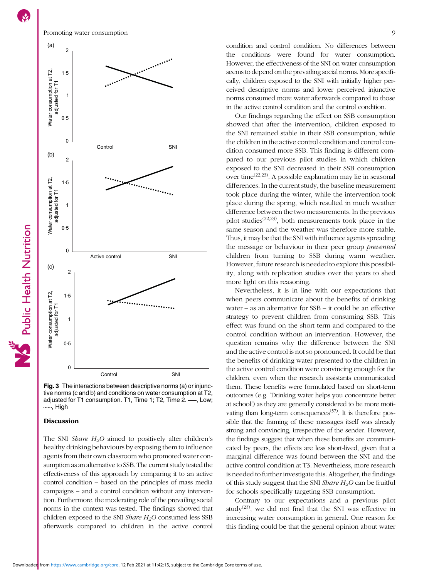<span id="page-8-0"></span>(a) 2 eren er en de former de la forme de la forme de la forme de la forme de la forme de la forme de la forme de la<br>La forme de la forme de la forme de la forme de la forme de la forme de la forme de la forme de la forme de la Nater consumption at T2, Water consumption at T2, 1·5 adjusted for T1 adjusted for T1 1  $0.5$  $\Omega$ Control SNI (b) 2 Vater consumption at T2, Water consumption at T2, 1·5 adjusted for T1 adjusted for T1 1  $0.5$ 0 Active control SNI (c) 2 Water consumption at T2. Water consumption at T2, 1·5 adjusted for T1 adjusted for T1 1  $0.5$  $\Omega$ Control SNI

Fig. 3 The interactions between descriptive norms (a) or injunctive norms (c and b) and conditions on water consumption at T2, adjusted for T1 consumption. T1, Time 1; T2, Time 2.  $\longrightarrow$ , Low; ....... Hiah

### **Discussion**

The SNI Share  $H_2O$  aimed to positively alter children's healthy drinking behaviours by exposing them to influence agents from their own classroom who promoted water consumption as an alternative to SSB. The current study tested the effectiveness of this approach by comparing it to an active control condition – based on the principles of mass media campaigns – and a control condition without any intervention. Furthermore, the moderating role of the prevailing social norms in the context was tested. The findings showed that children exposed to the SNI *Share H<sub>2</sub>O* consumed less SSB afterwards compared to children in the active control condition and control condition. No differences between the conditions were found for water consumption. However, the effectiveness of the SNI on water consumption seems to depend on the prevailing social norms. More specifically, children exposed to the SNI with initially higher perceived descriptive norms and lower perceived injunctive norms consumed more water afterwards compared to those in the active control condition and the control condition.

Our findings regarding the effect on SSB consumption showed that after the intervention, children exposed to the SNI remained stable in their SSB consumption, while the children in the active control condition and control condition consumed more SSB. This finding is different compared to our previous pilot studies in which children exposed to the SNI decreased in their SSB consumption over time([22,23\)](#page-11-0). A possible explanation may lie in seasonal differences. In the current study, the baseline measurement took place during the winter, while the intervention took place during the spring, which resulted in much weather difference between the two measurements. In the previous pilot studies<sup> $(22,23)$  $(22,23)$  $(22,23)$  $(22,23)$ </sup>, both measurements took place in the same season and the weather was therefore more stable. Thus, it may be that the SNI with influence agents spreading the message or behaviour in their peer group prevented children from turning to SSB during warm weather. However, future research is needed to explore this possibility, along with replication studies over the years to shed more light on this reasoning.

Nevertheless, it is in line with our expectations that when peers communicate about the benefits of drinking water – as an alternative for SSB – it could be an effective strategy to prevent children from consuming SSB. This effect was found on the short term and compared to the control condition without an intervention. However, the question remains why the difference between the SNI and the active control is not so pronounced. It could be that the benefits of drinking water presented to the children in the active control condition were convincing enough for the children, even when the research assistants communicated them. These benefits were formulated based on short-term outcomes (e.g. 'Drinking water helps you concentrate better at school') as they are generally considered to be more moti-vating than long-term consequences<sup>[\(57](#page-11-0))</sup>. It is therefore possible that the framing of these messages itself was already strong and convincing, irrespective of the sender. However, the findings suggest that when these benefits are communicated by peers, the effects are less short-lived, given that a marginal difference was found between the SNI and the active control condition at T3. Nevertheless, more research is needed to further investigate this. Altogether, the findings of this study suggest that the SNI Share  $H_2O$  can be fruitful for schools specifically targeting SSB consumption.

Contrary to our expectations and a previous pilot study<sup>[\(23](#page-11-0))</sup>, we did not find that the SNI was effective in increasing water consumption in general. One reason for this finding could be that the general opinion about water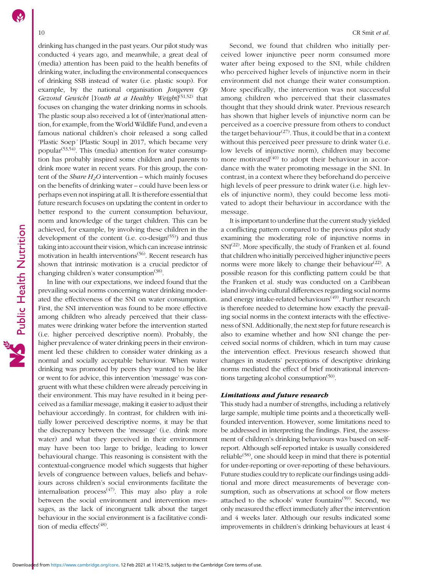drinking has changed in the past years. Our pilot study was conducted 4 years ago, and meanwhile, a great deal of (media) attention has been paid to the health benefits of drinking water, including the environmental consequences of drinking SSB instead of water (i.e. plastic soup). For example, by the national organisation Jongeren Op Gezond Gewicht [Youth at a Healthy Weight]<sup>([51,52\)](#page-11-0)</sup> that focuses on changing the water drinking norms in schools. The plastic soup also received a lot of (inter)national attention, for example, from the World Wildlife Fund, and even a famous national children's choir released a song called 'Plastic Soep' [Plastic Soup] in 2017, which became very popular<sup> $(53,54)$  $(53,54)$ </sup>. This (media) attention for water consumption has probably inspired some children and parents to drink more water in recent years. For this group, the content of the *Share*  $H_2O$  intervention – which mainly focuses on the benefits of drinking water – could have been less or perhaps even not inspiring at all. It is therefore essential that future research focuses on updating the content in order to better respond to the current consumption behaviour, norm and knowledge of the target children. This can be achieved, for example, by involving these children in the development of the content (i.e. co-design $(55)$  $(55)$ ) and thus taking into account their vision, which can increase intrinsic motivation in health interventions<sup>[\(56](#page-11-0))</sup>. Recent research has shown that intrinsic motivation is a crucial predictor of changing children's water consumption<sup> $(38)$  $(38)$  $(38)$ </sup>.

In line with our expectations, we indeed found that the prevailing social norms concerning water drinking moderated the effectiveness of the SNI on water consumption. First, the SNI intervention was found to be more effective among children who already perceived that their classmates were drinking water before the intervention started (i.e. higher perceived descriptive norm). Probably, the higher prevalence of water drinking peers in their environment led these children to consider water drinking as a normal and socially acceptable behaviour. When water drinking was promoted by peers they wanted to be like or went to for advice, this intervention 'message' was congruent with what these children were already perceiving in their environment. This may have resulted in it being perceived as a familiar message, making it easier to adjust their behaviour accordingly. In contrast, for children with initially lower perceived descriptive norms, it may be that the discrepancy between the 'message' (i.e. drink more water) and what they perceived in their environment may have been too large to bridge, leading to lower behavioural change. This reasoning is consistent with the contextual-congruence model which suggests that higher levels of congruence between values, beliefs and behaviours across children's social environments facilitate the internalisation process<sup> $(47)$ </sup>. This may also play a role between the social environment and intervention messages, as the lack of incongruent talk about the target behaviour in the social environment is a facilitative condition of media effects<sup> $(48)$ </sup>.

Second, we found that children who initially perceived lower injunctive peer norm consumed more water after being exposed to the SNI, while children who perceived higher levels of injunctive norm in their environment did not change their water consumption. More specifically, the intervention was not successful among children who perceived that their classmates thought that they should drink water. Previous research has shown that higher levels of injunctive norm can be perceived as a coercive pressure from others to conduct the target behaviour<sup>[\(27](#page-11-0))</sup>. Thus, it could be that in a context without this perceived peer pressure to drink water (i.e. low levels of injunctive norm), children may become more motivated $(40)$  $(40)$  to adopt their behaviour in accordance with the water promoting message in the SNI. In contrast, in a context where they beforehand do perceive high levels of peer pressure to drink water (i.e. high levels of injunctive norm), they could become less motivated to adopt their behaviour in accordance with the message.

It is important to underline that the current study yielded a conflicting pattern compared to the previous pilot study examining the moderating role of injunctive norms in  $SNI<sup>(22)</sup>$  $SNI<sup>(22)</sup>$  $SNI<sup>(22)</sup>$ . More specifically, the study of Franken et al. found that children who initially perceived higher injunctive peers norms were more likely to change their behaviour<sup> $(22)$  $(22)$ </sup>. A possible reason for this conflicting pattern could be that the Franken et al. study was conducted on a Caribbean island involving cultural differences regarding social norms and energy intake-related behaviours<sup>([49\)](#page-11-0)</sup>. Further research is therefore needed to determine how exactly the prevailing social norms in the context interacts with the effectiveness of SNI. Additionally, the next step for future research is also to examine whether and how SNI change the perceived social norms of children, which in turn may cause the intervention effect. Previous research showed that changes in students' perceptions of descriptive drinking norms mediated the effect of brief motivational interventions targeting alcohol consumption $(50)$ .

# Limitations and future research

This study had a number of strengths, including a relatively large sample, multiple time points and a theoretically wellfounded intervention. However, some limitations need to be addressed in interpreting the findings. First, the assessment of children's drinking behaviours was based on selfreport. Although self-reported intake is usually considered reliable<sup> $(58)$ </sup>, one should keep in mind that there is potential for under-reporting or over-reporting of these behaviours. Future studies could try to replicate our findings using additional and more direct measurements of beverage consumption, such as observations at school or flow meters attached to the schools' water fountains<sup>[\(59\)](#page-12-0)</sup>. Second, we only measured the effect immediately after the intervention and 4 weeks later. Although our results indicated some improvements in children's drinking behaviours at least 4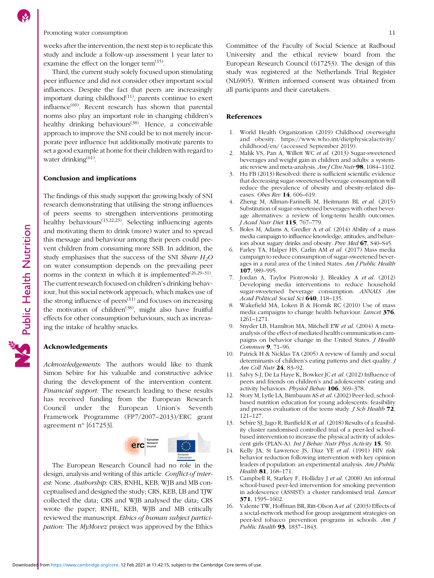<span id="page-10-0"></span>Promoting water consumption 11

weeks after the intervention, the next step is to replicate this study and include a follow-up assessment 1 year later to examine the effect on the longer term $(15)$ .

Third, the current study solely focused upon stimulating peer influence and did not consider other important social influences. Despite the fact that peers are increasingly important during childhood $(11)$ , parents continue to exert influence<sup>[\(60\)](#page-12-0)</sup>. Recent research has shown that parental norms also play an important role in changing children's healthy drinking behaviours<sup>([38](#page-11-0))</sup>. Hence, a conceivable approach to improve the SNI could be to not merely incorporate peer influence but additionally motivate parents to set a good example at home for their children with regard to water drinking $(61)$  $(61)$ .

#### Conclusion and implications

The findings of this study support the growing body of SNI research demonstrating that utilising the strong influences of peers seems to strengthen interventions promoting healthy behaviours<sup> $(13,22,23)$  $(13,22,23)$  $(13,22,23)$  $(13,22,23)$ </sup>. Selecting influencing agents and motivating them to drink (more) water and to spread this message and behaviour among their peers could prevent children from consuming more SSB. In addition, the study emphasises that the success of the SNI Share  $H_2O$ on water consumption depends on the prevailing peer norms in the context in which it is implemented<sup> $(26,29-31)$  $(26,29-31)$  $(26,29-31)$  $(26,29-31)$  $(26,29-31)$  $(26,29-31)$ </sup>. The current research focused on children's drinking behaviour, but this social network approach, which makes use of the strong influence of  $\text{peers}^{(11)}$  and focuses on increasing the motivation of children<sup> $(38)$  $(38)$ </sup>, might also have fruitful effects for other consumption behaviours, such as increasing the intake of healthy snacks.

### Acknowledgements

Acknowledgements: The authors would like to thank Simon Sebire for his valuable and constructive advice during the development of the intervention content. Financial support: The research leading to these results has received funding from the European Research Council under the European Union's Seventh Framework Programme (FP7/2007–2013)/ERC grant agreement n° [617253].



The European Research Council had no role in the design, analysis and writing of this article. Conflict of interest: None. Authorship: CRS, RNHL, KEB, WJB and MB conceptualised and designed the study; CRS, KEB, LB and TJW collected the data; CRS and WJB analysed the data; CRS wrote the paper; RNHL, KEB, WJB and MB critically reviewed the manuscript. Ethics of human subject participation: The MyMovez project was approved by the Ethics Committee of the Faculty of Social Science at Radboud University and the ethical review board from the European Research Council (617253). The design of this study was registered at the Netherlands Trial Register (NL6905). Written informed consent was obtained from all participants and their caretakers.

# References

- 1. World Health Organization (2019) Childhood overweight and obesity. [https://www.who.int/dietphysicalactivity/](https://www.who.int/dietphysicalactivity/childhood/en/) [childhood/en/](https://www.who.int/dietphysicalactivity/childhood/en/) (accessed September 2019).
- 2. Malik VS, Pan A, Willett WC et al. (2013) Sugar-sweetened beverages and weight gain in children and adults: a systematic review and meta-analysis. Am J Clin Nutr 98, 1084-1102.
- 3. Hu FB (2013) Resolved: there is sufficient scientific evidence that decreasing sugar-sweetened beverage consumption will reduce the prevalence of obesity and obesity-related diseases. Obes Rev 14, 606-619.
- 4. Zheng M, Allman-Farinelli M, Heitmann BL et al. (2015) Substitution of sugar-sweetened beverages with other beverage alternatives: a review of long-term health outcomes. J Acad Nutr Diet 115, 767–779.
- 5. Boles M, Adams A, Gredler A et al. (2014) Ability of a mass media campaign to influence knowledge, attitudes, and behaviors about sugary drinks and obesity. Prev Med 67, S40–S45.
- 6. Farley TA, Halper HS, Carlin AM et al. (2017) Mass media campaign to reduce consumption of sugar-sweetened beverages in a rural area of the United States. Am J Public Health 107, 989–995.
- 7. Jordan A, Taylor Piotrowski J, Bleakley A et al. (2012) Developing media interventions to reduce household sugar-sweetened beverage consumption. ANNALS Am Acad Political Social Sci 640, 118-135.
- 8. Wakefield MA, Loken B & Hornik RC (2010) Use of mass media campaigns to change health behaviour. Lancet 376, 1261–1271.
- 9. Snyder LB, Hamilton MA, Mitchell EW et al. (2004) A metaanalysis of the effect of mediated health communication campaigns on behavior change in the United States. *J Health* Commun 9, 71-96.
- 10. Patrick H & Nicklas TA (2005) A review of family and social determinants of children's eating patterns and diet quality. J Am Coll Nutr 24, 83–92.
- 11. Salvy S-J, De La Haye K, Bowker JC et al. (2012) Influence of peers and friends on children's and adolescents' eating and activity behaviors. Physiol Behav 106, 369-378.
- 12. Story M, Lytle LA, Birnbaum AS et al. (2002) Peer-led, schoolbased nutrition education for young adolescents: feasibility and process evaluation of the teens study. *J Sch Health* 72, 121–127.
- 13. Sebire SJ, Jago R, Banfield K et al. (2018) Results of a feasibility cluster randomised controlled trial of a peer-led schoolbased intervention to increase the physical activity of adolescent girls (PLAN-A). Int J Behav Nutr Phys Activity 15, 50.
- 14. Kelly JA, St Lawrence JS, Diaz YE et al. (1991) HIV risk behavior reduction following intervention with key opinion leaders of population: an experimental analysis. Am J Public Health 81, 168-171.
- 15. Campbell R, Starkey F, Holliday J et al. (2008) An informal school-based peer-led intervention for smoking prevention in adolescence (ASSIST): a cluster randomised trial. Lancet 371, 1595–1602.
- 16. Valente TW, Hoffman BR, Ritt-Olson A et al. (2003) Effects of a social-network method for group assignment strategies on peer-led tobacco prevention programs in schools. Am J Public Health **93**, 1837-1843.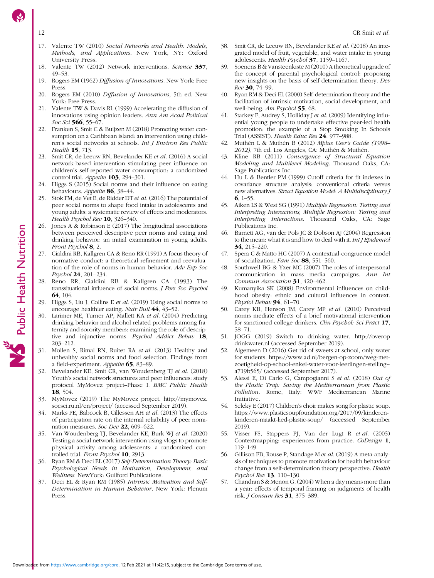<span id="page-11-0"></span>

- 17. Valente TW (2010) Social Networks and Health: Models, Methods, and Applications. New York, NY: Oxford University Press.
- 18. Valente TW (2012) Network interventions. Science 337, 49–53.
- 19. Rogers EM (1962) Diffusion of Innovations. New York: Free Press.
- 20. Rogers EM (2010) Diffusion of Innovations, 5th ed. New York: Free Press.
- 21. Valente TW & Davis RL (1999) Accelerating the diffusion of innovations using opinion leaders. Ann Am Acad Political Soc Sci 566, 55-67.
- 22. Franken S, Smit C & Buijzen M (2018) Promoting water consumption on a Caribbean island: an intervention using children's social networks at schools. Int J Environ Res Public Health 15, 713.
- 23. Smit CR, de Leeuw RN, Bevelander KE et al. (2016) A social network-based intervention stimulating peer influence on children's self-reported water consumption: a randomized control trial. Appetite 103, 294-301.
- 24. Higgs S (2015) Social norms and their influence on eating behaviours. Appetite 86, 38-44.
- 25. Stok FM, de Vet E, de Ridder DT et al. (2016) The potential of peer social norms to shape food intake in adolescents and young adults: a systematic review of effects and moderators. Health Psychol Rev 10, 326-340.
- Jones A & Robinson E (2017) The longitudinal associations between perceived descriptive peer norms and eating and drinking behavior: an initial examination in young adults. Front Psychol 8, 2.
- Cialdini RB, Kallgren CA & Reno RR (1991) A focus theory of normative conduct: a theoretical refinement and reevaluation of the role of norms in human behavior. Adv Exp Soc Psychol 24, 201–234.
- 28. Reno RR, Cialdini RB & Kallgren CA (1993) The transsituational influence of social norms. J Pers Soc Psychol 64, 104.
- Higgs S, Liu J, Collins E et al. (2019) Using social norms to encourage healthier eating. Nutr Bull 44, 43–52.
- Larimer ME, Turner AP, Mallett KA et al. (2004) Predicting drinking behavior and alcohol-related problems among fraternity and sorority members: examining the role of descriptive and injunctive norms. Psychol Addict Behav 18, 203–212.
- 31. Mollen S, Rimal RN, Ruiter RA et al. (2013) Healthy and unhealthy social norms and food selection. Findings from a field-experiment. Appetite 65, 83–89.
- 32. Bevelander KE, Smit CR, van Woudenberg TJ et al. (2018) Youth's social network structures and peer influences: study protocol MyMovez project–Phase I. BMC Public Health 18, 504.
- 33. MyMovez (2019) The MyMovez project. [http://mymovez.](http://mymovez.socsci.ru.nl/en/project/) [socsci.ru.nl/en/project/](http://mymovez.socsci.ru.nl/en/project/) (accessed September 2019).
- 34. Marks PE, Babcock B, Cillessen AH et al. (2013) The effects of participation rate on the internal reliability of peer nomination measures. Soc Dev 22, 609–622.
- 35. Van Woudenberg TJ, Bevelander KE, Burk WJ et al. (2020) Testing a social network intervention using vlogs to promote physical activity among adolescents: a randomized controlled trial. Front Psychol 10, 2913.
- 36. Ryan RM & Deci EL (2017) Self-Determination Theory: Basic Psychological Needs in Motivation, Development, and Wellness. NewYork: Guilford Publications.
- 37. Deci EL & Ryan RM (1985) Intrinsic Motivation and Self-Determination in Human Behavior. New York: Plenum Press.
- 38. Smit CR, de Leeuw RN, Bevelander KE et al. (2018) An integrated model of fruit, vegetable, and water intake in young adolescents. Health Psychol 37, 1159–1167.
- 39. Soenens B & Vansteenkiste M (2010) A theoretical upgrade of the concept of parental psychological control: proposing new insights on the basis of self-determination theory. Dev  $Rev 30, 74–99.$
- 40. Ryan RM & Deci EL (2000) Self-determination theory and the facilitation of intrinsic motivation, social development, and well-being. Am Psychol 55, 68.
- 41. Starkey F, Audrey S, Holliday J et al. (2009) Identifying influential young people to undertake effective peer-led health promotion: the example of a Stop Smoking In Schools Trial (ASSIST). Health Educ Res 24, 977–988.
- 42. Muthén L & Muthén B (2012) Mplus User's Guide (1998– 2012), 7th ed. Los Angeles, CA: Muthén & Muthén.
- 43. Kline RB (2011) Convergence of Structural Equation Modeling and Multilevel Modeling. Thousand Oaks, CA: Sage Publications Inc.
- 44. Hu L & Bentler PM (1999) Cutoff criteria for fit indexes in covariance structure analysis: conventional criteria versus new alternatives. Struct Equation Model: A Multidisciplinary J 6, 1–55.
- 45. Aiken LS & West SG (1991) Multiple Regression: Testing and Interpreting Interactions, Multiple Regression: Testing and Interpreting Interactions. Thousand Oaks, CA: Sage Publications Inc.
- 46. Barnett AG, van der Pols JC & Dobson AJ (2004) Regression to the mean: what it is and how to deal with it. Int J Epidemiol 34, 215–220.
- 47. Spera C & Matto HC (2007) A contextual-congruence model of socialization. Fam Soc 88, 551–560.
- 48. Southwell BG & Yzer MC (2007) The roles of interpersonal communication in mass media campaigns. Ann Int Commun Association 31, 420–462.
- 49. Kumanyika SK (2008) Environmental influences on childhood obesity: ethnic and cultural influences in context. Physiol Behav 94, 61-70.
- 50. Carey KB, Henson JM, Carey MP et al. (2010) Perceived norms mediate effects of a brief motivational intervention for sanctioned college drinkers. Clin Psychol: Sci Pract 17, 58–71.
- 51. JOGG (2019) Switch to drinking water. [http://overop](http://overopdrinkwater.nl) [drinkwater.nl](http://overopdrinkwater.nl) (accessed September 2019).
- 52. Algemeen D (2016) Get rid of sweets at school, only water for students. [https://www.ad.nl/bergen-op-zoom/weg-met](https://www.ad.nl/bergen-op-zoom/weg-met-zoetigheid-op-school-enkel-water-voor-leerlingen-stelling~a719b565/)[zoetigheid-op-school-enkel-water-voor-leerlingen-stelling~](https://www.ad.nl/bergen-op-zoom/weg-met-zoetigheid-op-school-enkel-water-voor-leerlingen-stelling~a719b565/) [a719b565/](https://www.ad.nl/bergen-op-zoom/weg-met-zoetigheid-op-school-enkel-water-voor-leerlingen-stelling~a719b565/) (accessed September 2017).
- 53. Alessi E, Di Carlo G, Campogianni S et al. (2018) Out of the Plastic Trap: Saving the Mediterranean from Plastic Pollution. Rome, Italy: WWF Mediterranean Marine Initiative.
- Seleky E (2017) Children's choir makes song for plastic soup. [https://www.plasticsoupfoundation.org/2017/09/kinderen](https://www.plasticsoupfoundation.org/2017/09/kinderen-kinderen-maakt-lied-plastic-soup/)[kinderen-maakt-lied-plastic-soup/](https://www.plasticsoupfoundation.org/2017/09/kinderen-kinderen-maakt-lied-plastic-soup/) (accessed September 2019).
- 55. Visser FS, Stappers PJ, Van der Lugt R et al. (2005) Contextmapping: experiences from practice. CoDesign 1, 119–149.
- 56. Gillison FB, Rouse P, Standage M et al. (2019) A meta-analysis of techniques to promote motivation for health behaviour change from a self-determination theory perspective. Health Psychol Rev 13, 110-130.
- 57. Chandran S & Menon G. (2004) When a day means more than a year: effects of temporal framing on judgments of health risk. J Consum Res 31, 375–389.